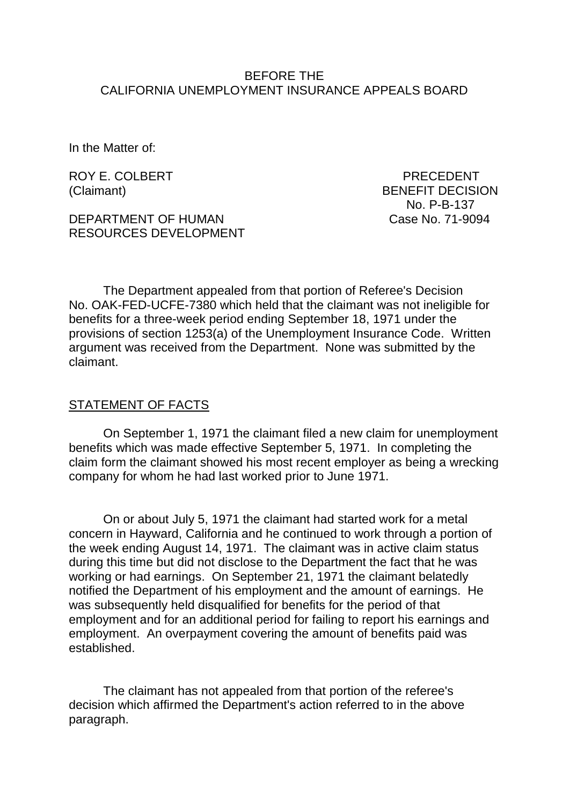#### BEFORE THE CALIFORNIA UNEMPLOYMENT INSURANCE APPEALS BOARD

In the Matter of:

ROY E. COLBERT PRECEDENT

DEPARTMENT OF HUMAN Case No. 71-9094 RESOURCES DEVELOPMENT

(Claimant) BENEFIT DECISION No. P-B-137

The Department appealed from that portion of Referee's Decision No. OAK-FED-UCFE-7380 which held that the claimant was not ineligible for benefits for a three-week period ending September 18, 1971 under the provisions of section 1253(a) of the Unemployment Insurance Code. Written argument was received from the Department. None was submitted by the claimant.

#### STATEMENT OF FACTS

On September 1, 1971 the claimant filed a new claim for unemployment benefits which was made effective September 5, 1971. In completing the claim form the claimant showed his most recent employer as being a wrecking company for whom he had last worked prior to June 1971.

On or about July 5, 1971 the claimant had started work for a metal concern in Hayward, California and he continued to work through a portion of the week ending August 14, 1971. The claimant was in active claim status during this time but did not disclose to the Department the fact that he was working or had earnings. On September 21, 1971 the claimant belatedly notified the Department of his employment and the amount of earnings. He was subsequently held disqualified for benefits for the period of that employment and for an additional period for failing to report his earnings and employment. An overpayment covering the amount of benefits paid was established.

The claimant has not appealed from that portion of the referee's decision which affirmed the Department's action referred to in the above paragraph.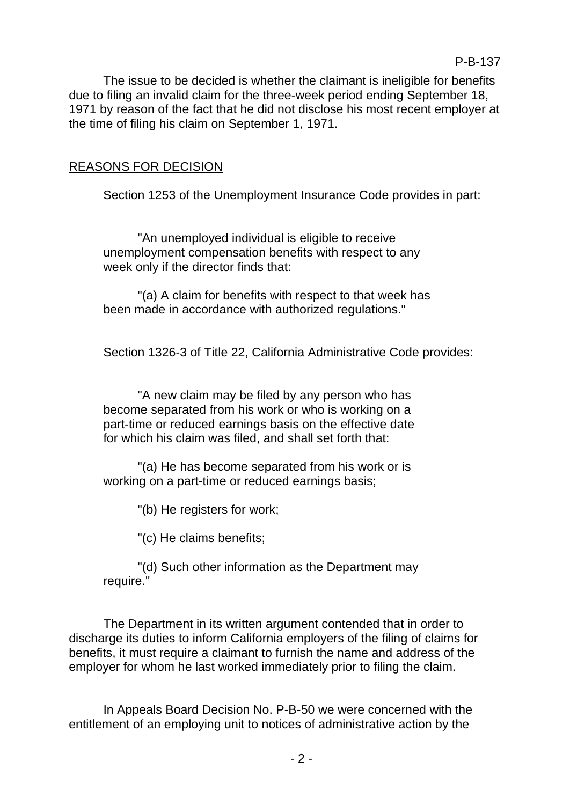The issue to be decided is whether the claimant is ineligible for benefits due to filing an invalid claim for the three-week period ending September 18, 1971 by reason of the fact that he did not disclose his most recent employer at the time of filing his claim on September 1, 1971.

## REASONS FOR DECISION

Section 1253 of the Unemployment Insurance Code provides in part:

"An unemployed individual is eligible to receive unemployment compensation benefits with respect to any week only if the director finds that:

"(a) A claim for benefits with respect to that week has been made in accordance with authorized regulations."

Section 1326-3 of Title 22, California Administrative Code provides:

"A new claim may be filed by any person who has become separated from his work or who is working on a part-time or reduced earnings basis on the effective date for which his claim was filed, and shall set forth that:

"(a) He has become separated from his work or is working on a part-time or reduced earnings basis;

"(b) He registers for work;

"(c) He claims benefits;

"(d) Such other information as the Department may require."

The Department in its written argument contended that in order to discharge its duties to inform California employers of the filing of claims for benefits, it must require a claimant to furnish the name and address of the employer for whom he last worked immediately prior to filing the claim.

In Appeals Board Decision No. P-B-50 we were concerned with the entitlement of an employing unit to notices of administrative action by the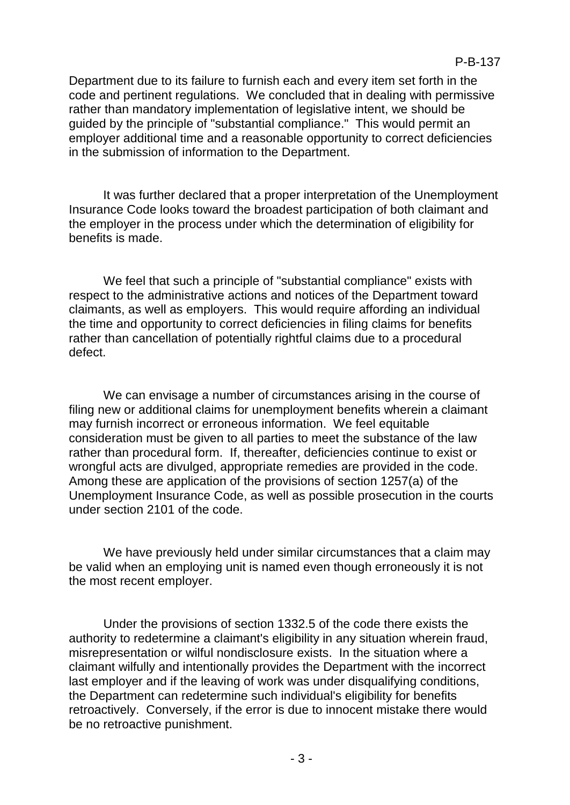Department due to its failure to furnish each and every item set forth in the code and pertinent regulations. We concluded that in dealing with permissive rather than mandatory implementation of legislative intent, we should be guided by the principle of "substantial compliance." This would permit an employer additional time and a reasonable opportunity to correct deficiencies in the submission of information to the Department.

It was further declared that a proper interpretation of the Unemployment Insurance Code looks toward the broadest participation of both claimant and the employer in the process under which the determination of eligibility for benefits is made.

We feel that such a principle of "substantial compliance" exists with respect to the administrative actions and notices of the Department toward claimants, as well as employers. This would require affording an individual the time and opportunity to correct deficiencies in filing claims for benefits rather than cancellation of potentially rightful claims due to a procedural defect.

We can envisage a number of circumstances arising in the course of filing new or additional claims for unemployment benefits wherein a claimant may furnish incorrect or erroneous information. We feel equitable consideration must be given to all parties to meet the substance of the law rather than procedural form. If, thereafter, deficiencies continue to exist or wrongful acts are divulged, appropriate remedies are provided in the code. Among these are application of the provisions of section 1257(a) of the Unemployment Insurance Code, as well as possible prosecution in the courts under section 2101 of the code.

We have previously held under similar circumstances that a claim may be valid when an employing unit is named even though erroneously it is not the most recent employer.

Under the provisions of section 1332.5 of the code there exists the authority to redetermine a claimant's eligibility in any situation wherein fraud, misrepresentation or wilful nondisclosure exists. In the situation where a claimant wilfully and intentionally provides the Department with the incorrect last employer and if the leaving of work was under disqualifying conditions, the Department can redetermine such individual's eligibility for benefits retroactively. Conversely, if the error is due to innocent mistake there would be no retroactive punishment.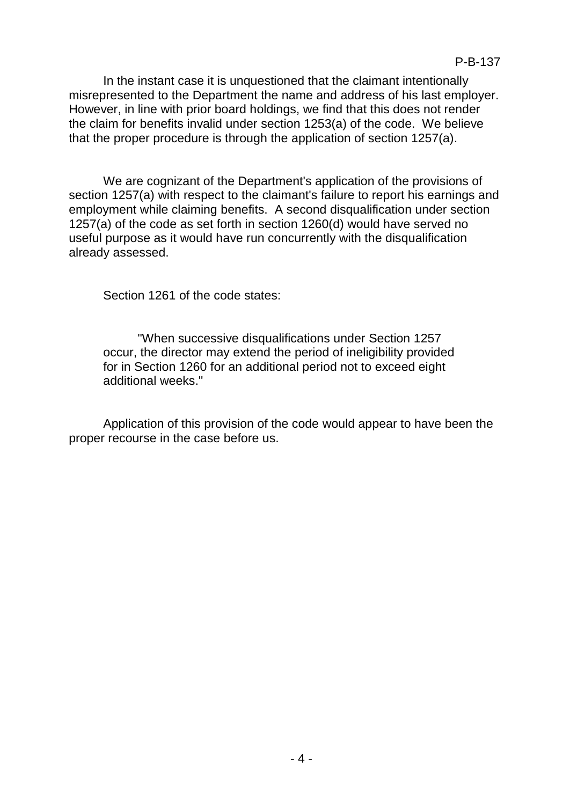In the instant case it is unquestioned that the claimant intentionally misrepresented to the Department the name and address of his last employer. However, in line with prior board holdings, we find that this does not render the claim for benefits invalid under section 1253(a) of the code. We believe that the proper procedure is through the application of section 1257(a).

We are cognizant of the Department's application of the provisions of section 1257(a) with respect to the claimant's failure to report his earnings and employment while claiming benefits. A second disqualification under section 1257(a) of the code as set forth in section 1260(d) would have served no useful purpose as it would have run concurrently with the disqualification already assessed.

Section 1261 of the code states:

"When successive disqualifications under Section 1257 occur, the director may extend the period of ineligibility provided for in Section 1260 for an additional period not to exceed eight additional weeks."

Application of this provision of the code would appear to have been the proper recourse in the case before us.